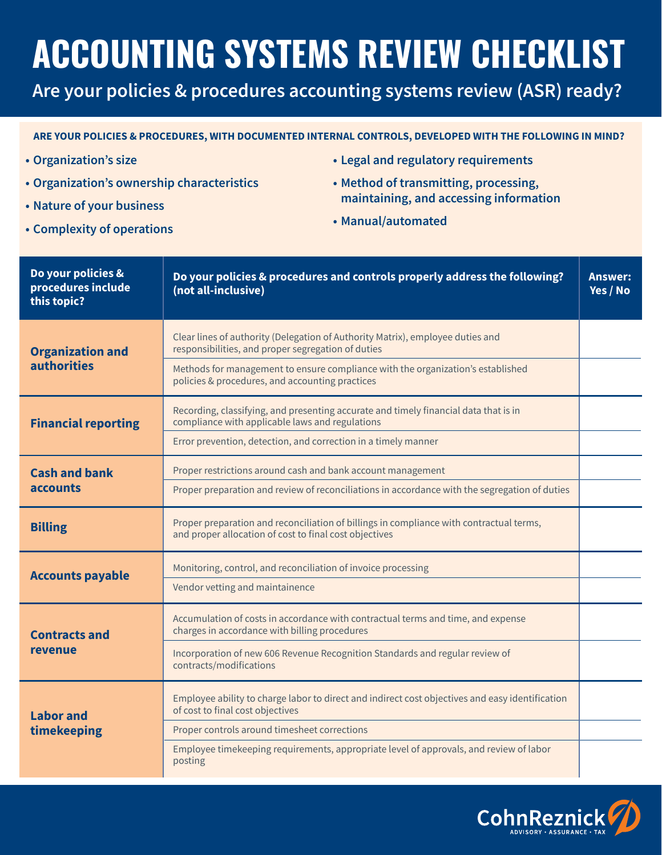# **ACCOUNTING SYSTEMS REVIEW CHECKLIST**

**Are your policies & procedures accounting systems review (ASR) ready?**

#### **ARE YOUR POLICIES & PROCEDURES, WITH DOCUMENTED INTERNAL CONTROLS, DEVELOPED WITH THE FOLLOWING IN MIND?**

- **• Organization's size**
- **• Organization's ownership characteristics**
- **• Nature of your business**
- **• Complexity of operations**
- **• Legal and regulatory requirements**
- **Method of transmitting, processing, maintaining, and accessing information**
- **• Manual/automated**

| Do your policies &<br>procedures include<br>this topic? | Do your policies & procedures and controls properly address the following?<br>(not all-inclusive)                                                 | <b>Answer:</b><br>Yes / No |
|---------------------------------------------------------|---------------------------------------------------------------------------------------------------------------------------------------------------|----------------------------|
| <b>Organization and</b><br><b>authorities</b>           | Clear lines of authority (Delegation of Authority Matrix), employee duties and<br>responsibilities, and proper segregation of duties              |                            |
|                                                         | Methods for management to ensure compliance with the organization's established<br>policies & procedures, and accounting practices                |                            |
| <b>Financial reporting</b>                              | Recording, classifying, and presenting accurate and timely financial data that is in<br>compliance with applicable laws and regulations           |                            |
|                                                         | Error prevention, detection, and correction in a timely manner                                                                                    |                            |
| <b>Cash and bank</b><br><b>accounts</b>                 | Proper restrictions around cash and bank account management                                                                                       |                            |
|                                                         | Proper preparation and review of reconciliations in accordance with the segregation of duties                                                     |                            |
| <b>Billing</b>                                          | Proper preparation and reconciliation of billings in compliance with contractual terms,<br>and proper allocation of cost to final cost objectives |                            |
| <b>Accounts payable</b>                                 | Monitoring, control, and reconciliation of invoice processing                                                                                     |                            |
|                                                         | Vendor vetting and maintainence                                                                                                                   |                            |
| <b>Contracts and</b><br>revenue                         | Accumulation of costs in accordance with contractual terms and time, and expense<br>charges in accordance with billing procedures                 |                            |
|                                                         | Incorporation of new 606 Revenue Recognition Standards and regular review of<br>contracts/modifications                                           |                            |
| Labor and<br>timekeeping                                | Employee ability to charge labor to direct and indirect cost objectives and easy identification<br>of cost to final cost objectives               |                            |
|                                                         | Proper controls around timesheet corrections                                                                                                      |                            |
|                                                         | Employee timekeeping requirements, appropriate level of approvals, and review of labor<br>posting                                                 |                            |